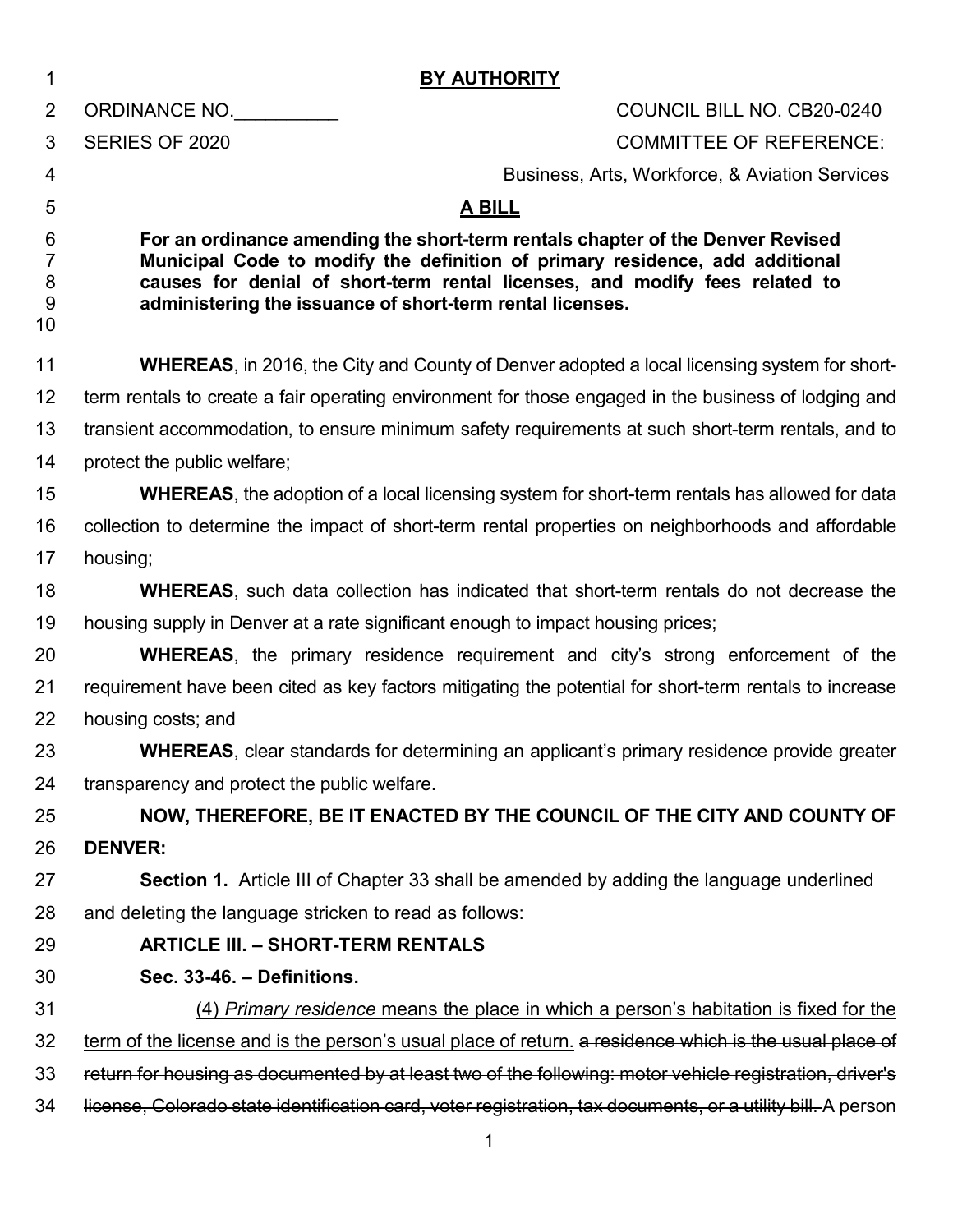| 1                                   | <b>BY AUTHORITY</b>                                                                                                                                                                                                                                                                                        |
|-------------------------------------|------------------------------------------------------------------------------------------------------------------------------------------------------------------------------------------------------------------------------------------------------------------------------------------------------------|
| $\overline{2}$                      | ORDINANCE NO.<br>COUNCIL BILL NO. CB20-0240                                                                                                                                                                                                                                                                |
| 3                                   | SERIES OF 2020<br><b>COMMITTEE OF REFERENCE:</b>                                                                                                                                                                                                                                                           |
| 4                                   | Business, Arts, Workforce, & Aviation Services                                                                                                                                                                                                                                                             |
| 5                                   | <b>A BILL</b>                                                                                                                                                                                                                                                                                              |
| 6<br>$\overline{7}$<br>8<br>9<br>10 | For an ordinance amending the short-term rentals chapter of the Denver Revised<br>Municipal Code to modify the definition of primary residence, add additional<br>causes for denial of short-term rental licenses, and modify fees related to<br>administering the issuance of short-term rental licenses. |
| 11                                  | <b>WHEREAS</b> , in 2016, the City and County of Denver adopted a local licensing system for short-                                                                                                                                                                                                        |
| 12                                  | term rentals to create a fair operating environment for those engaged in the business of lodging and                                                                                                                                                                                                       |
| 13                                  | transient accommodation, to ensure minimum safety requirements at such short-term rentals, and to                                                                                                                                                                                                          |
| 14                                  | protect the public welfare;                                                                                                                                                                                                                                                                                |
| 15                                  | <b>WHEREAS</b> , the adoption of a local licensing system for short-term rentals has allowed for data                                                                                                                                                                                                      |
| 16                                  | collection to determine the impact of short-term rental properties on neighborhoods and affordable                                                                                                                                                                                                         |
| 17                                  | housing;                                                                                                                                                                                                                                                                                                   |
| 18                                  | <b>WHEREAS</b> , such data collection has indicated that short-term rentals do not decrease the                                                                                                                                                                                                            |
| 19                                  | housing supply in Denver at a rate significant enough to impact housing prices;                                                                                                                                                                                                                            |
| 20                                  | <b>WHEREAS</b> , the primary residence requirement and city's strong enforcement of the                                                                                                                                                                                                                    |
| 21                                  | requirement have been cited as key factors mitigating the potential for short-term rentals to increase                                                                                                                                                                                                     |
| 22                                  | housing costs; and                                                                                                                                                                                                                                                                                         |
| 23                                  | <b>WHEREAS</b> , clear standards for determining an applicant's primary residence provide greater                                                                                                                                                                                                          |
| 24                                  | transparency and protect the public welfare.                                                                                                                                                                                                                                                               |
| 25                                  | NOW, THEREFORE, BE IT ENACTED BY THE COUNCIL OF THE CITY AND COUNTY OF                                                                                                                                                                                                                                     |
| 26                                  | <b>DENVER:</b>                                                                                                                                                                                                                                                                                             |
| 27                                  | Section 1. Article III of Chapter 33 shall be amended by adding the language underlined                                                                                                                                                                                                                    |
| 28                                  | and deleting the language stricken to read as follows:                                                                                                                                                                                                                                                     |
| 29                                  | <b>ARTICLE III. - SHORT-TERM RENTALS</b>                                                                                                                                                                                                                                                                   |
| 30                                  | Sec. 33-46. - Definitions.                                                                                                                                                                                                                                                                                 |
| 31                                  | (4) Primary residence means the place in which a person's habitation is fixed for the                                                                                                                                                                                                                      |
| 32                                  | term of the license and is the person's usual place of return. a residence which is the usual place of                                                                                                                                                                                                     |
| 33                                  | return for housing as documented by at least two of the following: motor vehicle registration, driver's                                                                                                                                                                                                    |
| 34                                  | license, Colorado state identification card, voter registration, tax documents, or a utility bill. A person                                                                                                                                                                                                |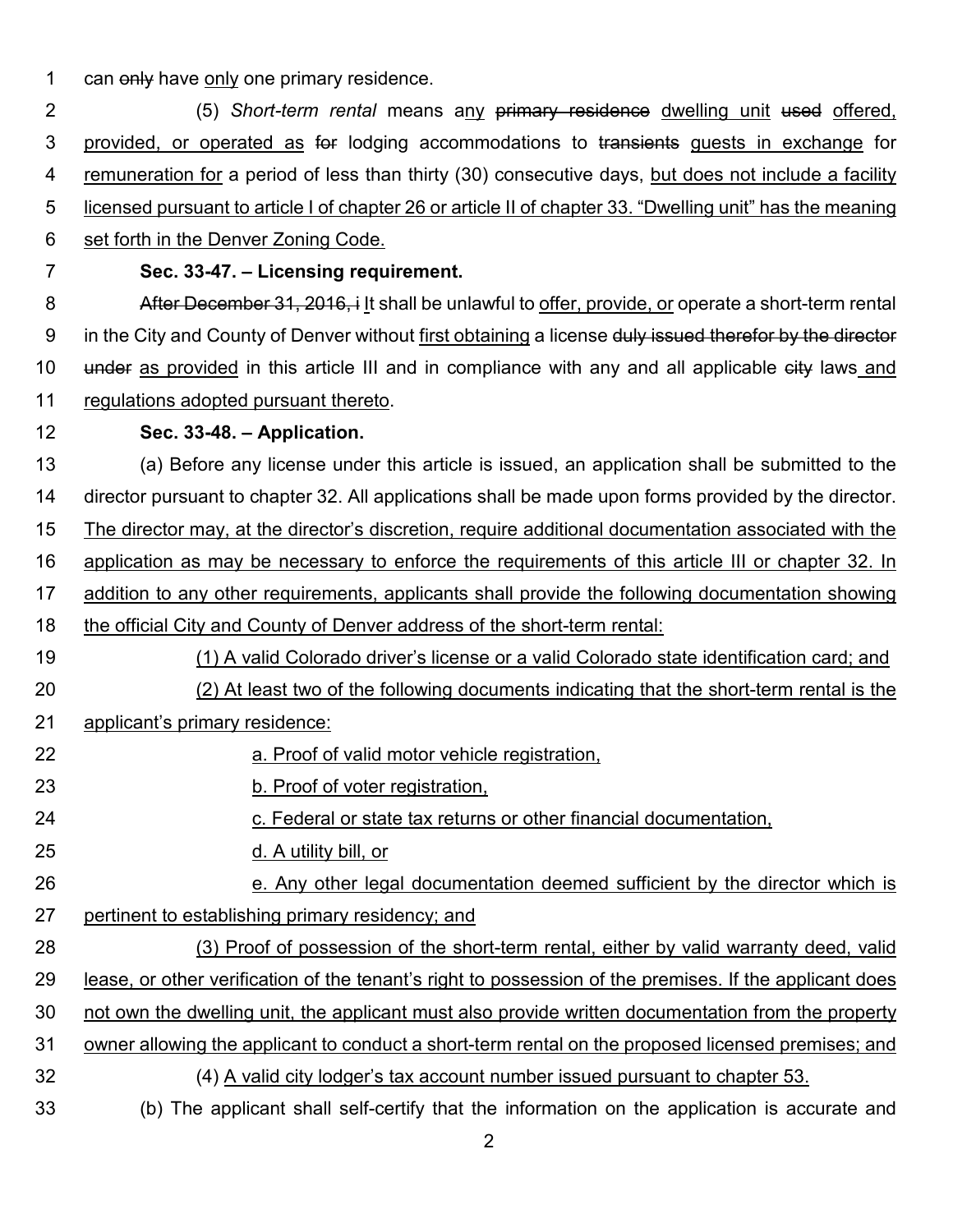1 can only have only one primary residence.

 (5) *Short-term rental* means any primary residence dwelling unit used offered, 3 provided, or operated as for lodging accommodations to transients guests in exchange for remuneration for a period of less than thirty (30) consecutive days, but does not include a facility licensed pursuant to article I of chapter 26 or article II of chapter 33. "Dwelling unit" has the meaning set forth in the Denver Zoning Code.

# **Sec. 33-47. – Licensing requirement.**

**After December 31, 2016, i** It shall be unlawful to offer, provide, or operate a short-term rental 9 in the City and County of Denver without first obtaining a license duly issued therefor by the director 10 under as provided in this article III and in compliance with any and all applicable eity laws and regulations adopted pursuant thereto.

## **Sec. 33-48. – Application.**

 (a) Before any license under this article is issued, an application shall be submitted to the director pursuant to chapter 32. All applications shall be made upon forms provided by the director. The director may, at the director's discretion, require additional documentation associated with the application as may be necessary to enforce the requirements of this article III or chapter 32. In addition to any other requirements, applicants shall provide the following documentation showing the official City and County of Denver address of the short-term rental:

- 
- (1) A valid Colorado driver's license or a valid Colorado state identification card; and (2) At least two of the following documents indicating that the short-term rental is the applicant's primary residence:
- a. Proof of valid motor vehicle registration,
- b. Proof of voter registration,
- 24 c. Federal or state tax returns or other financial documentation,
- d. A utility bill, or
- **Example 26** e. Any other legal documentation deemed sufficient by the director which is 27 pertinent to establishing primary residency; and
- (3) Proof of possession of the short-term rental, either by valid warranty deed, valid lease, or other verification of the tenant's right to possession of the premises. If the applicant does not own the dwelling unit, the applicant must also provide written documentation from the property owner allowing the applicant to conduct a short-term rental on the proposed licensed premises; and (4) A valid city lodger's tax account number issued pursuant to chapter 53.
- (b) The applicant shall self-certify that the information on the application is accurate and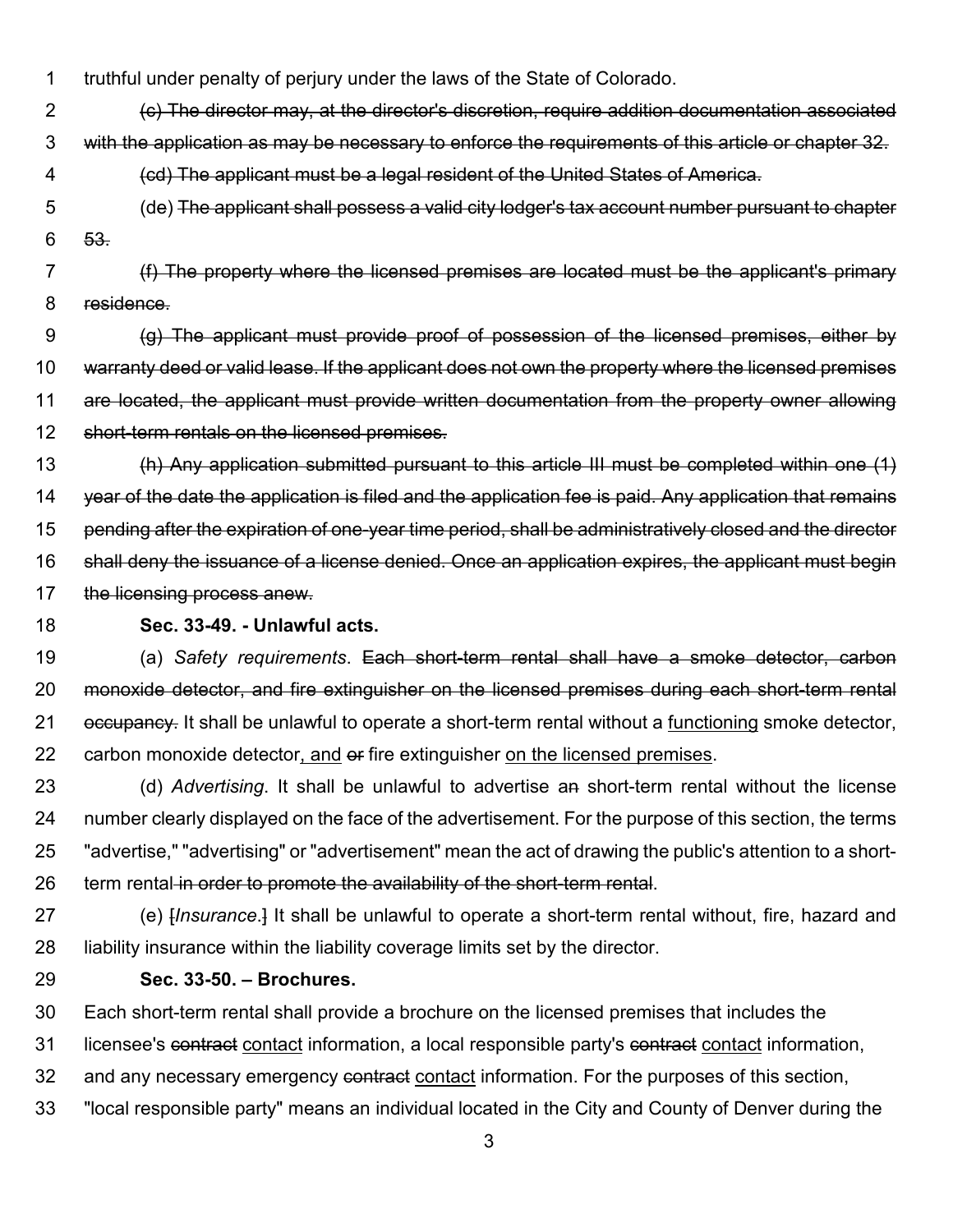truthful under penalty of perjury under the laws of the State of Colorado.

 (c) The director may, at the director's discretion, require addition documentation associated with the application as may be necessary to enforce the requirements of this article or chapter 32.

- (cd) The applicant must be a legal resident of the United States of America.
- (de) The applicant shall possess a valid city lodger's tax account number pursuant to chapter 53.
- (f) The property where the licensed premises are located must be the applicant's primary residence.

 (g) The applicant must provide proof of possession of the licensed premises, either by warranty deed or valid lease. If the applicant does not own the property where the licensed premises are located, the applicant must provide written documentation from the property owner allowing short-term rentals on the licensed premises.

 (h) Any application submitted pursuant to this article III must be completed within one (1) 14 year of the date the application is filed and the application fee is paid. Any application that remains pending after the expiration of one-year time period, shall be administratively closed and the director shall deny the issuance of a license denied. Once an application expires, the applicant must begin 17 the licensing process anew.

#### **Sec. 33-49. - Unlawful acts.**

 (a) *Safety requirements*. Each short-term rental shall have a smoke detector, carbon monoxide detector, and fire extinguisher on the licensed premises during each short-term rental 21 occupancy. It shall be unlawful to operate a short-term rental without a functioning smoke detector, 22 carbon monoxide detector, and  $\theta$  fire extinguisher on the licensed premises.

 (d) *Advertising*. It shall be unlawful to advertise an short-term rental without the license number clearly displayed on the face of the advertisement. For the purpose of this section, the terms "advertise," "advertising" or "advertisement" mean the act of drawing the public's attention to a short-26 term rental in order to promote the availability of the short-term rental.

 (e) [*Insurance*.] It shall be unlawful to operate a short-term rental without, fire, hazard and liability insurance within the liability coverage limits set by the director.

#### **Sec. 33-50. – Brochures.**

Each short-term rental shall provide a brochure on the licensed premises that includes the

31 licensee's contract contact information, a local responsible party's contract contact information,

32 and any necessary emergency contract contact information. For the purposes of this section,

"local responsible party" means an individual located in the City and County of Denver during the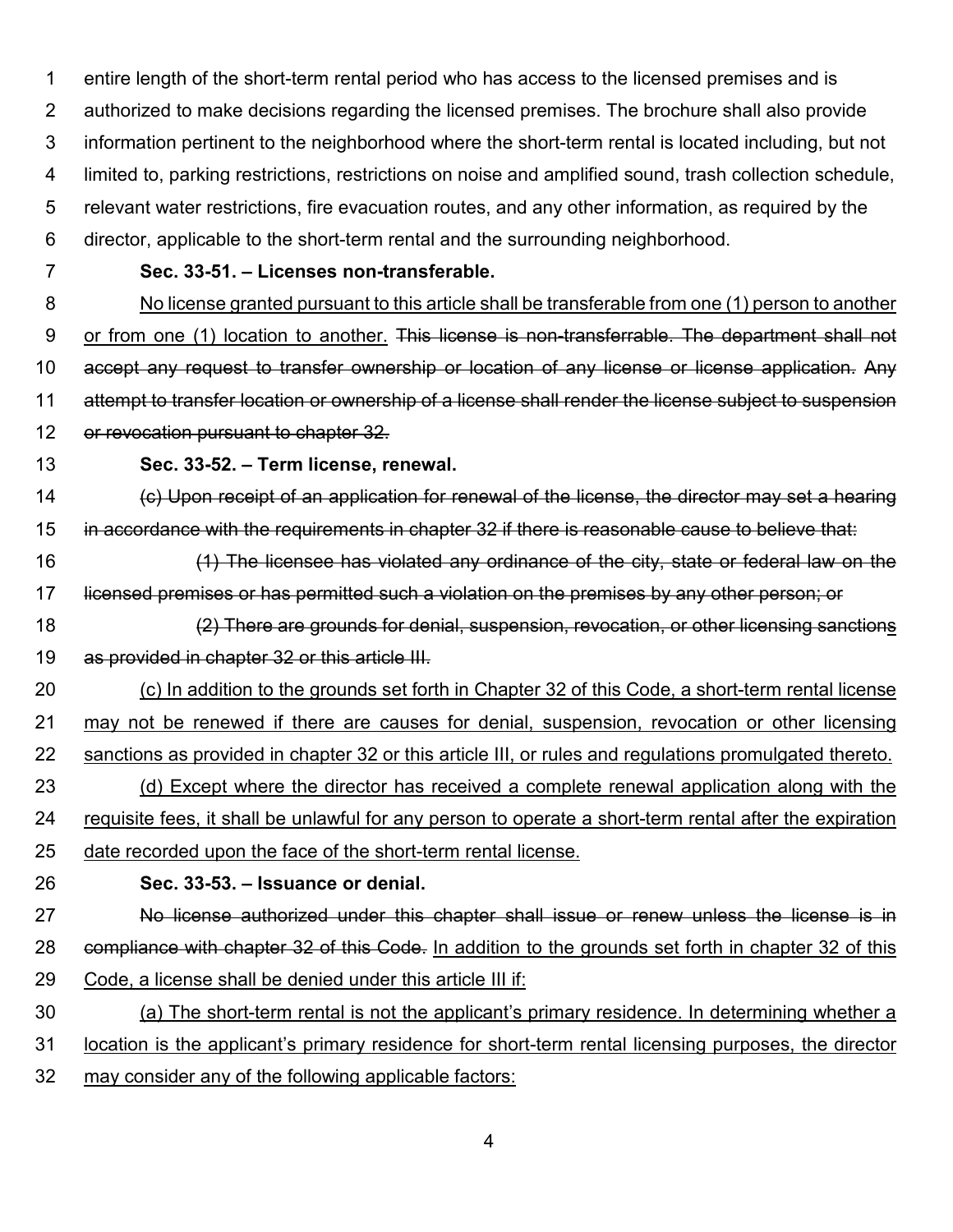entire length of the short-term rental period who has access to the licensed premises and is authorized to make decisions regarding the licensed premises. The brochure shall also provide information pertinent to the neighborhood where the short-term rental is located including, but not limited to, parking restrictions, restrictions on noise and amplified sound, trash collection schedule, relevant water restrictions, fire evacuation routes, and any other information, as required by the director, applicable to the short-term rental and the surrounding neighborhood.

#### **Sec. 33-51. – Licenses non-transferable.**

 No license granted pursuant to this article shall be transferable from one (1) person to another 9 or from one (1) location to another. This license is non-transferrable. The department shall not accept any request to transfer ownership or location of any license or license application. Any attempt to transfer location or ownership of a license shall render the license subject to suspension or revocation pursuant to chapter 32.

### **Sec. 33-52. – Term license, renewal.**

 (c) Upon receipt of an application for renewal of the license, the director may set a hearing in accordance with the requirements in chapter 32 if there is reasonable cause to believe that:

- (1) The licensee has violated any ordinance of the city, state or federal law on the 17 licensed premises or has permitted such a violation on the premises by any other person; or
- (2) There are grounds for denial, suspension, revocation, or other licensing sanctions 19 as provided in chapter 32 or this article III.
- (c) In addition to the grounds set forth in Chapter 32 of this Code, a short-term rental license may not be renewed if there are causes for denial, suspension, revocation or other licensing sanctions as provided in chapter 32 or this article III, or rules and regulations promulgated thereto.
- (d) Except where the director has received a complete renewal application along with the requisite fees, it shall be unlawful for any person to operate a short-term rental after the expiration date recorded upon the face of the short-term rental license.
- **Sec. 33-53. – Issuance or denial.**
- No license authorized under this chapter shall issue or renew unless the license is in 28 compliance with chapter 32 of this Code. In addition to the grounds set forth in chapter 32 of this Code, a license shall be denied under this article III if:
- (a) The short-term rental is not the applicant's primary residence. In determining whether a
- location is the applicant's primary residence for short-term rental licensing purposes, the director
- may consider any of the following applicable factors: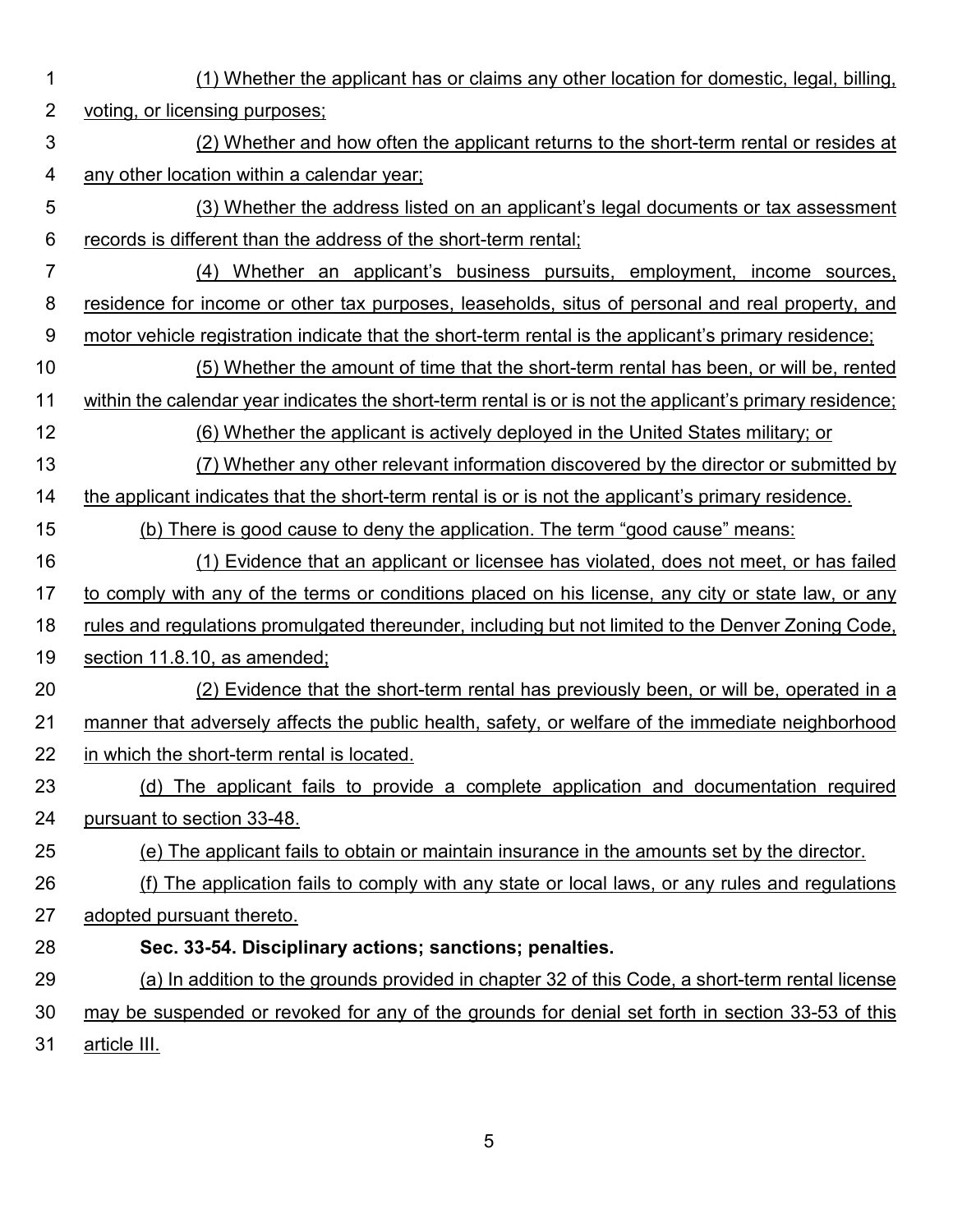- (1) Whether the applicant has or claims any other location for domestic, legal, billing,
	- 2 voting, or licensing purposes;
	- (2) Whether and how often the applicant returns to the short-term rental or resides at any other location within a calendar year;
	- (3) Whether the address listed on an applicant's legal documents or tax assessment records is different than the address of the short-term rental;
	- (4) Whether an applicant's business pursuits, employment, income sources, residence for income or other tax purposes, leaseholds, situs of personal and real property, and motor vehicle registration indicate that the short-term rental is the applicant's primary residence;
	- (5) Whether the amount of time that the short-term rental has been, or will be, rented within the calendar year indicates the short-term rental is or is not the applicant's primary residence;
	- (6) Whether the applicant is actively deployed in the United States military; or
	- (7) Whether any other relevant information discovered by the director or submitted by the applicant indicates that the short-term rental is or is not the applicant's primary residence.
	- (b) There is good cause to deny the application. The term "good cause" means:
	- (1) Evidence that an applicant or licensee has violated, does not meet, or has failed 17 to comply with any of the terms or conditions placed on his license, any city or state law, or any
	- rules and regulations promulgated thereunder, including but not limited to the Denver Zoning Code,
	- section 11.8.10, as amended;
	- (2) Evidence that the short-term rental has previously been, or will be, operated in a 21 manner that adversely affects the public health, safety, or welfare of the immediate neighborhood in which the short-term rental is located.
	- (d) The applicant fails to provide a complete application and documentation required pursuant to section 33-48.
	- (e) The applicant fails to obtain or maintain insurance in the amounts set by the director.
	- (f) The application fails to comply with any state or local laws, or any rules and regulations adopted pursuant thereto.
	- **Sec. 33-54. Disciplinary actions; sanctions; penalties.**
	- (a) In addition to the grounds provided in chapter 32 of this Code, a short-term rental license may be suspended or revoked for any of the grounds for denial set forth in section 33-53 of this article III.